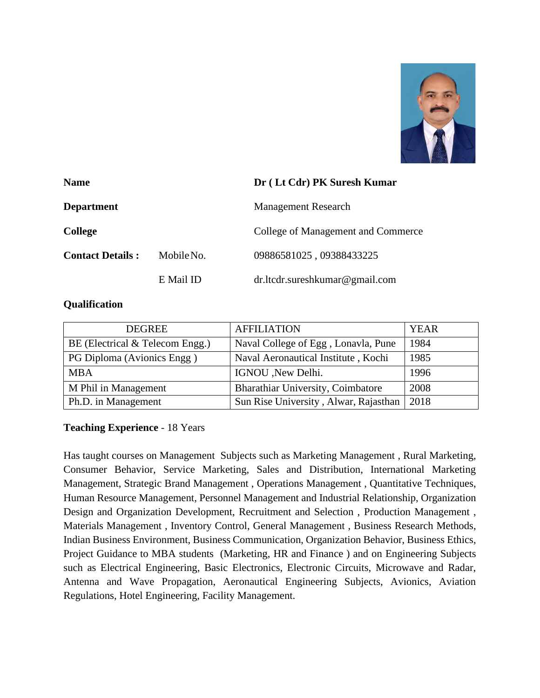

| <b>Name</b>             |            | Dr (Lt Cdr) PK Suresh Kumar        |  |
|-------------------------|------------|------------------------------------|--|
| <b>Department</b>       |            | <b>Management Research</b>         |  |
| <b>College</b>          |            | College of Management and Commerce |  |
| <b>Contact Details:</b> | Mobile No. | 09886581025,09388433225            |  |
|                         | E Mail ID  | $dr$ .ltcdr.sureshkumar@gmail.com  |  |

## **Qualification**

| <b>DEGREE</b>                   | <b>AFFILIATION</b>                    | <b>YEAR</b> |
|---------------------------------|---------------------------------------|-------------|
| BE (Electrical & Telecom Engg.) | Naval College of Egg, Lonavla, Pune   | 1984        |
| PG Diploma (Avionics Engg)      | Naval Aeronautical Institute, Kochi   | 1985        |
| <b>MBA</b>                      | IGNOU , New Delhi.                    | 1996        |
| M Phil in Management            | Bharathiar University, Coimbatore     | 2008        |
| Ph.D. in Management             | Sun Rise University, Alwar, Rajasthan | 2018        |

# **Teaching Experience** - 18 Years

Has taught courses on Management Subjects such as Marketing Management , Rural Marketing, Consumer Behavior, Service Marketing, Sales and Distribution, International Marketing Management, Strategic Brand Management , Operations Management , Quantitative Techniques, Human Resource Management, Personnel Management and Industrial Relationship, Organization Design and Organization Development, Recruitment and Selection , Production Management , Materials Management , Inventory Control, General Management , Business Research Methods, Indian Business Environment, Business Communication, Organization Behavior, Business Ethics, Project Guidance to MBA students (Marketing, HR and Finance ) and on Engineering Subjects such as Electrical Engineering, Basic Electronics, Electronic Circuits, Microwave and Radar, Antenna and Wave Propagation, Aeronautical Engineering Subjects, Avionics, Aviation Regulations, Hotel Engineering, Facility Management.